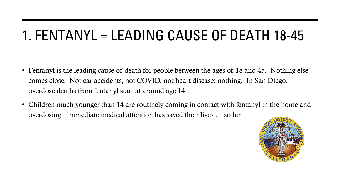## 1. FENTANYL = LEADING CAUSE OF DEATH 18-45

- Fentanyl is the leading cause of death for people between the ages of 18 and 45. Nothing else comes close. Not car accidents, not COVID, not heart disease; nothing. In San Diego, overdose deaths from fentanyl start at around age 14.
- Children much younger than 14 are routinely coming in contact with fentanyl in the home and overdosing. Immediate medical attention has saved their lives … so far.

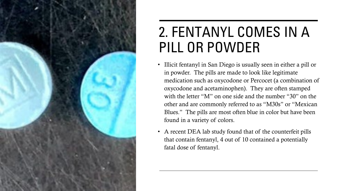

#### 2. FENTANYL COMES IN A PILL OR POWDER

- Illicit fentanyl in San Diego is usually seen in either a pill or in powder. The pills are made to look like legitimate medication such as oxycodone or Percocet (a combination of oxycodone and acetaminophen). They are often stamped with the letter "M" on one side and the number "30" on the other and are commonly referred to as "M30s" or "Mexican Blues." The pills are most often blue in color but have been found in a variety of colors.
- A recent DEA lab study found that of the counterfeit pills that contain fentanyl, 4 out of 10 contained a potentially fatal dose of fentanyl.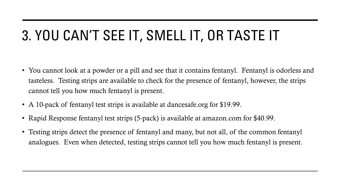# 3. YOU CAN'T SEE IT, SMELL IT, OR TASTE IT

- You cannot look at a powder or a pill and see that it contains fentanyl. Fentanyl is odorless and tasteless. Testing strips are available to check for the presence of fentanyl, however, the strips cannot tell you how much fentanyl is present.
- A 10-pack of fentanyl test strips is available at dancesafe.org for \$19.99.
- Rapid Response fentanyl test strips (5-pack) is available at amazon.com for \$40.99.
- Testing strips detect the presence of fentanyl and many, but not all, of the common fentanyl analogues. Even when detected, testing strips cannot tell you how much fentanyl is present.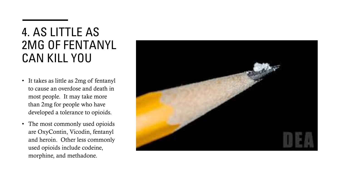#### 4. AS LITTLE AS 2MG OF FENTANYL CAN KILL YOU

- It takes as little as 2mg of fentanyl to cause an overdose and death in most people. It may take more than 2mg for people who have developed a tolerance to opioids.
- The most commonly used opioids are OxyContin, Vicodin, fentanyl and heroin. Other less commonly used opioids include codeine, morphine, and methadone.